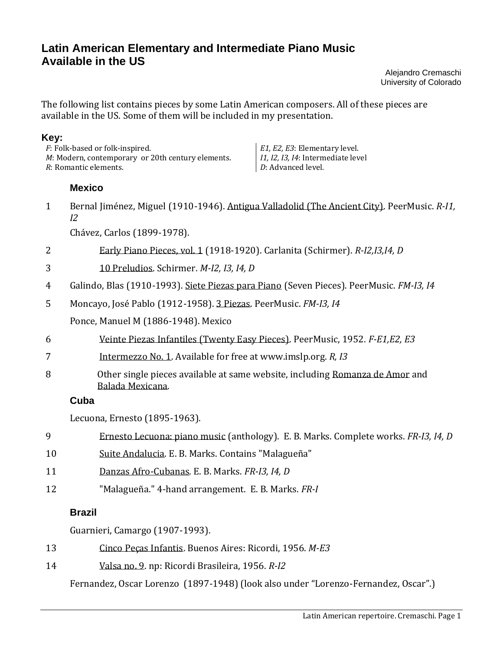# **Latin American Elementary and Intermediate Piano Music Available in the US**

Alejandro Cremaschi University of Colorado

The following list contains pieces by some Latin American composers. All of these pieces are available in the US. Some of them will be included in my presentation.

#### **Key:**

| <i>F</i> : Folk-based or folk-inspired.                   | E1, E2, E3: Elementary level.              |
|-----------------------------------------------------------|--------------------------------------------|
| <i>M</i> : Modern, contemporary or 20th century elements. | <i>I1, I2, I3, I4</i> : Intermediate level |
| R: Romantic elements.                                     | <i>D</i> : Advanced level.                 |

## **Mexico**

1 Bernal Jiménez, Miguel (1910-1946). Antigua Valladolid (The Ancient City). PeerMusic. *R-I1, I2*

Chávez, Carlos (1899-1978).

- 2 Early Piano Pieces, vol. 1 (1918-1920). Carlanita (Schirmer). *R-I2,I3,I4, D*
- 3 10 Preludios. Schirmer. *M-I2, I3, I4, D*
- 4 Galindo, Blas (1910-1993). Siete Piezas para Piano (Seven Pieces). PeerMusic. *FM-I3, I4*
- 5 Moncayo, José Pablo (1912-1958). 3 Piezas. PeerMusic. *FM-I3, I4*

Ponce, Manuel M (1886-1948). Mexico

- 6 Veinte Piezas Infantiles (Twenty Easy Pieces). PeerMusic, 1952. *F-E1,E2, E3*
- 7 Intermezzo No. 1. Available for free at www.imslp.org. *R, I3*
- 8 Other single pieces available at same website, including Romanza de Amor and Balada Mexicana.

## **Cuba**

Lecuona, Ernesto (1895-1963).

- 9 Ernesto Lecuona: piano music (anthology). E. B. Marks. Complete works. *FR-I3, I4, D*
- 10 Suite Andalucia. E. B. Marks. Contains "Malagueña"
- 11 Danzas Afro-Cubanas*.* E. B. Marks. *FR-I3, I4, D*
- 12 "Malagueña." 4-hand arrangement. E. B. Marks. *FR-I*

# **Brazil**

Guarnieri, Camargo (1907-1993).

- 13 Cinco Peças Infantis. Buenos Aires: Ricordi, 1956. *M-E3*
- 14 Valsa no. 9. np: Ricordi Brasileira, 1956. *R-I2*

Fernandez, Oscar Lorenzo (1897-1948) (look also under "Lorenzo-Fernandez, Oscar".)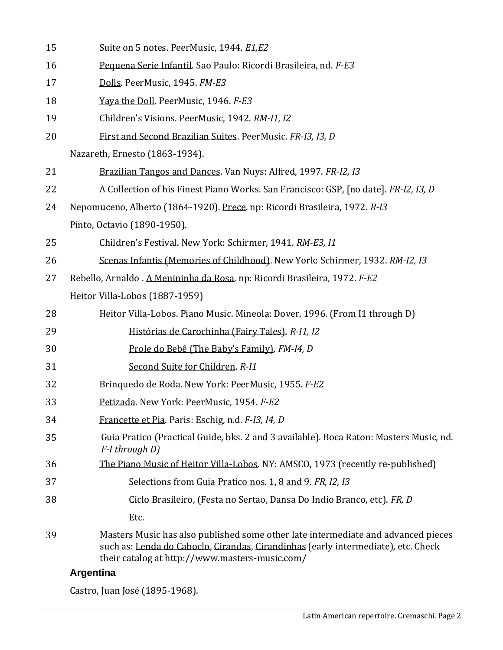| 15 | Suite on 5 notes. PeerMusic, 1944. E1,E2                                                                                                                                                                                 |  |
|----|--------------------------------------------------------------------------------------------------------------------------------------------------------------------------------------------------------------------------|--|
| 16 | Pequena Serie Infantil. Sao Paulo: Ricordi Brasileira, nd. F-E3                                                                                                                                                          |  |
| 17 | Dolls. PeerMusic, 1945. FM-E3                                                                                                                                                                                            |  |
| 18 | Yaya the Doll. PeerMusic, 1946. F-E3                                                                                                                                                                                     |  |
| 19 | Children's Visions. PeerMusic, 1942. RM-I1, I2                                                                                                                                                                           |  |
| 20 | First and Second Brazilian Suites. PeerMusic. FR-I3, I3, D                                                                                                                                                               |  |
|    | Nazareth, Ernesto (1863-1934).                                                                                                                                                                                           |  |
| 21 | Brazilian Tangos and Dances. Van Nuys: Alfred, 1997. FR-I2, I3                                                                                                                                                           |  |
| 22 | A Collection of his Finest Piano Works. San Francisco: GSP, [no date]. FR-I2, I3, D                                                                                                                                      |  |
| 24 | Nepomuceno, Alberto (1864-1920). Prece. np: Ricordi Brasileira, 1972. R-I3                                                                                                                                               |  |
|    | Pinto, Octavio (1890-1950).                                                                                                                                                                                              |  |
| 25 | Children's Festival. New York: Schirmer, 1941. RM-E3, 11                                                                                                                                                                 |  |
| 26 | Scenas Infantis (Memories of Childhood). New York: Schirmer, 1932. RM-I2, I3                                                                                                                                             |  |
| 27 | Rebello, Arnaldo. A Menininha da Rosa. np: Ricordi Brasileira, 1972. F-E2                                                                                                                                                |  |
|    | Heitor Villa-Lobos (1887-1959)                                                                                                                                                                                           |  |
| 28 | Heitor Villa-Lobos. Piano Music. Mineola: Dover, 1996. (From I1 through D)                                                                                                                                               |  |
| 29 | Histórias de Carochinha (Fairy Tales). R-11, I2                                                                                                                                                                          |  |
| 30 | Prole do Bebê (The Baby's Family). FM-14, D                                                                                                                                                                              |  |
| 31 | Second Suite for Children. R-11                                                                                                                                                                                          |  |
| 32 | Brinquedo de Roda. New York: PeerMusic, 1955. F-E2                                                                                                                                                                       |  |
| 33 | Petizada. New York: PeerMusic, 1954. F-E2                                                                                                                                                                                |  |
| 34 | Francette et Pia. Paris: Eschig, n.d. F-I3, I4, D                                                                                                                                                                        |  |
| 35 | Guia Pratico (Practical Guide, bks. 2 and 3 available). Boca Raton: Masters Music, nd.<br>F-I through D)                                                                                                                 |  |
| 36 | The Piano Music of Heitor Villa-Lobos. NY: AMSCO, 1973 (recently re-published)                                                                                                                                           |  |
| 37 | Selections from Guia Pratico nos. 1, 8 and 9. FR, I2, I3                                                                                                                                                                 |  |
| 38 | Ciclo Brasileiro, (Festa no Sertao, Dansa Do Indio Branco, etc). FR, D                                                                                                                                                   |  |
|    | Etc.                                                                                                                                                                                                                     |  |
| 39 | Masters Music has also published some other late intermediate and advanced pieces<br>such as: Lenda do Caboclo, Cirandas, Cirandinhas (early intermediate), etc. Check<br>their catalog at http://www.masters-music.com/ |  |

# **Argentina**

Castro, Juan José (1895-1968).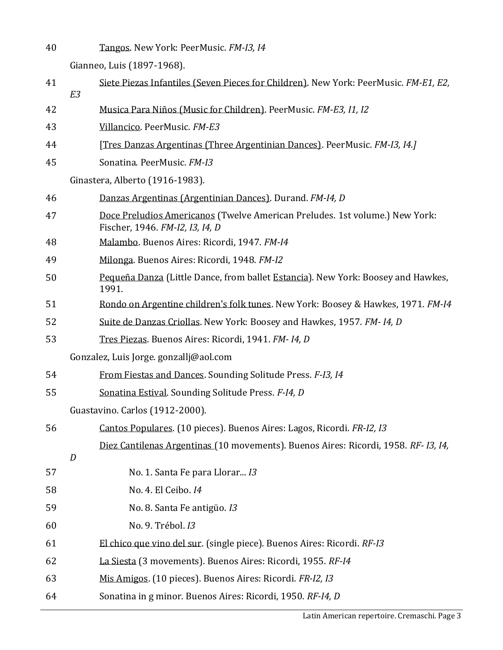Tangos. New York: PeerMusic. *FM-I3, I4*

Gianneo, Luis (1897-1968).

| 41 | Siete Piezas Infantiles (Seven Pieces for Children). New York: PeerMusic. FM-E1, E2,<br>E3                     |  |
|----|----------------------------------------------------------------------------------------------------------------|--|
| 42 | Musica Para Niños (Music for Children). PeerMusic. FM-E3, 11, 12                                               |  |
| 43 | Villancico. PeerMusic. FM-E3                                                                                   |  |
| 44 | [Tres Danzas Argentinas (Three Argentinian Dances). PeerMusic. FM-I3, I4.]                                     |  |
| 45 | Sonatina. PeerMusic. FM-I3                                                                                     |  |
|    | Ginastera, Alberto (1916-1983).                                                                                |  |
| 46 | Danzas Argentinas (Argentinian Dances). Durand. FM-I4, D                                                       |  |
| 47 | Doce Preludios Americanos (Twelve American Preludes. 1st volume.) New York:<br>Fischer, 1946. FM-I2, I3, I4, D |  |
| 48 | Malambo. Buenos Aires: Ricordi, 1947. FM-14                                                                    |  |
| 49 | Milonga. Buenos Aires: Ricordi, 1948. FM-I2                                                                    |  |
| 50 | Pequeña Danza (Little Dance, from ballet Estancia). New York: Boosey and Hawkes,<br>1991.                      |  |
| 51 | Rondo on Argentine children's folk tunes. New York: Boosey & Hawkes, 1971. FM-I4                               |  |
| 52 | Suite de Danzas Criollas. New York: Boosey and Hawkes, 1957. FM-14, D                                          |  |
| 53 | Tres Piezas. Buenos Aires: Ricordi, 1941. FM-14, D                                                             |  |
|    | Gonzalez, Luis Jorge. gonzallj@aol.com                                                                         |  |
| 54 | From Fiestas and Dances. Sounding Solitude Press. F-I3, 14                                                     |  |
| 55 | Sonatina Estival. Sounding Solitude Press. F-I4, D                                                             |  |
|    | Guastavino. Carlos (1912-2000).                                                                                |  |
| 56 | Cantos Populares. (10 pieces). Buenos Aires: Lagos, Ricordi. FR-I2, I3                                         |  |
|    | Diez Cantilenas Argentinas (10 movements). Buenos Aires: Ricordi, 1958. RF- 13, 14,<br>$\boldsymbol{D}$        |  |
| 57 | No. 1. Santa Fe para Llorar I3                                                                                 |  |
| 58 | No. 4. El Ceibo. 14                                                                                            |  |
| 59 | No. 8. Santa Fe antigüo. 13                                                                                    |  |
| 60 | No. 9. Trébol. 13                                                                                              |  |
| 61 | El chico que vino del sur. (single piece). Buenos Aires: Ricordi. RF-I3                                        |  |
| 62 | La Siesta (3 movements). Buenos Aires: Ricordi, 1955. RF-I4                                                    |  |
| 63 | Mis Amigos. (10 pieces). Buenos Aires: Ricordi. FR-I2, I3                                                      |  |
| 64 | Sonatina in g minor. Buenos Aires: Ricordi, 1950. RF-I4, D                                                     |  |